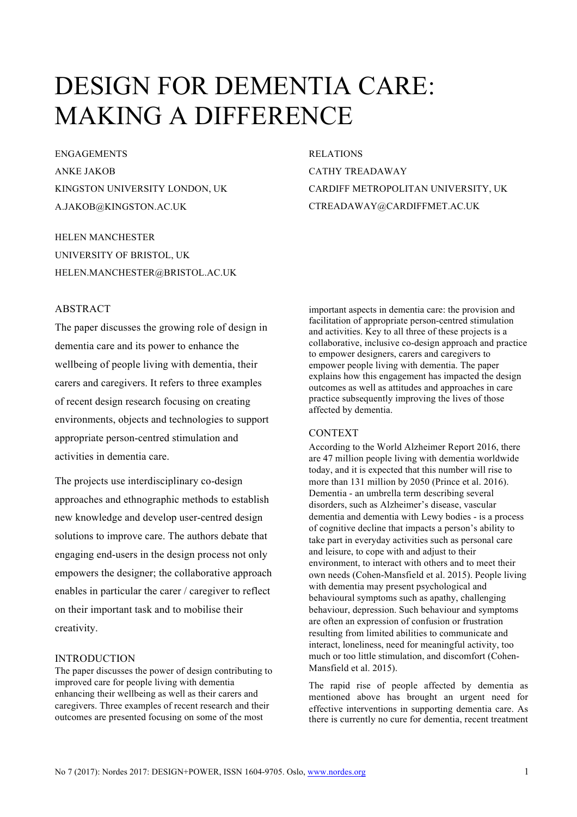# DESIGN FOR DEMENTIA CARE: MAKING A DIFFERENCE

ENGAGEMENTS ANKE JAKOB KINGSTON UNIVERSITY LONDON, UK A.JAKOB@KINGSTON.AC.UK

HELEN MANCHESTER UNIVERSITY OF BRISTOL, UK HELEN.MANCHESTER@BRISTOL.AC.UK

## ABSTRACT

The paper discusses the growing role of design in dementia care and its power to enhance the wellbeing of people living with dementia, their carers and caregivers. It refers to three examples of recent design research focusing on creating environments, objects and technologies to support appropriate person-centred stimulation and activities in dementia care.

The projects use interdisciplinary co-design approaches and ethnographic methods to establish new knowledge and develop user-centred design solutions to improve care. The authors debate that engaging end-users in the design process not only empowers the designer; the collaborative approach enables in particular the carer / caregiver to reflect on their important task and to mobilise their creativity.

#### INTRODUCTION

The paper discusses the power of design contributing to improved care for people living with dementia enhancing their wellbeing as well as their carers and caregivers. Three examples of recent research and their outcomes are presented focusing on some of the most

RELATIONS CATHY TREADAWAY CARDIFF METROPOLITAN UNIVERSITY, UK CTREADAWAY@CARDIFFMET.AC.UK

important aspects in dementia care: the provision and facilitation of appropriate person-centred stimulation and activities. Key to all three of these projects is a collaborative, inclusive co-design approach and practice to empower designers, carers and caregivers to empower people living with dementia. The paper explains how this engagement has impacted the design outcomes as well as attitudes and approaches in care practice subsequently improving the lives of those affected by dementia.

#### CONTEXT

According to the World Alzheimer Report 2016, there are 47 million people living with dementia worldwide today, and it is expected that this number will rise to more than 131 million by 2050 (Prince et al. 2016). Dementia - an umbrella term describing several disorders, such as Alzheimer's disease, vascular dementia and dementia with Lewy bodies - is a process of cognitive decline that impacts a person's ability to take part in everyday activities such as personal care and leisure, to cope with and adjust to their environment, to interact with others and to meet their own needs (Cohen-Mansfield et al. 2015). People living with dementia may present psychological and behavioural symptoms such as apathy, challenging behaviour, depression. Such behaviour and symptoms are often an expression of confusion or frustration resulting from limited abilities to communicate and interact, loneliness, need for meaningful activity, too much or too little stimulation, and discomfort (Cohen-Mansfield et al. 2015).

The rapid rise of people affected by dementia as mentioned above has brought an urgent need for effective interventions in supporting dementia care. As there is currently no cure for dementia, recent treatment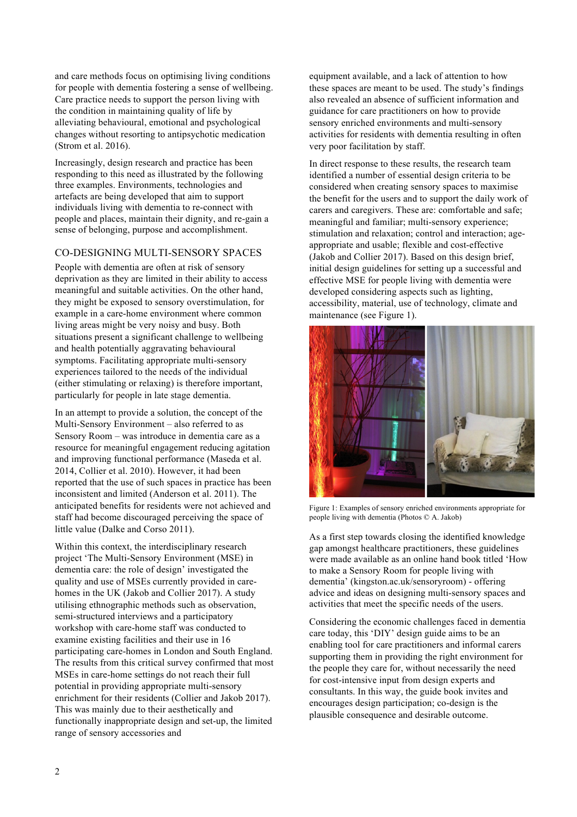and care methods focus on optimising living conditions for people with dementia fostering a sense of wellbeing. Care practice needs to support the person living with the condition in maintaining quality of life by alleviating behavioural, emotional and psychological changes without resorting to antipsychotic medication (Strom et al. 2016).

Increasingly, design research and practice has been responding to this need as illustrated by the following three examples. Environments, technologies and artefacts are being developed that aim to support individuals living with dementia to re-connect with people and places, maintain their dignity, and re-gain a sense of belonging, purpose and accomplishment.

## CO-DESIGNING MULTI-SENSORY SPACES

People with dementia are often at risk of sensory deprivation as they are limited in their ability to access meaningful and suitable activities. On the other hand, they might be exposed to sensory overstimulation, for example in a care-home environment where common living areas might be very noisy and busy. Both situations present a significant challenge to wellbeing and health potentially aggravating behavioural symptoms. Facilitating appropriate multi-sensory experiences tailored to the needs of the individual (either stimulating or relaxing) is therefore important, particularly for people in late stage dementia.

In an attempt to provide a solution, the concept of the Multi-Sensory Environment – also referred to as Sensory Room – was introduce in dementia care as a resource for meaningful engagement reducing agitation and improving functional performance (Maseda et al. 2014, Collier et al. 2010). However, it had been reported that the use of such spaces in practice has been inconsistent and limited (Anderson et al. 2011). The anticipated benefits for residents were not achieved and staff had become discouraged perceiving the space of little value (Dalke and Corso 2011).

Within this context, the interdisciplinary research project 'The Multi-Sensory Environment (MSE) in dementia care: the role of design' investigated the quality and use of MSEs currently provided in carehomes in the UK (Jakob and Collier 2017). A study utilising ethnographic methods such as observation, semi-structured interviews and a participatory workshop with care-home staff was conducted to examine existing facilities and their use in 16 participating care-homes in London and South England. The results from this critical survey confirmed that most MSEs in care-home settings do not reach their full potential in providing appropriate multi-sensory enrichment for their residents (Collier and Jakob 2017). This was mainly due to their aesthetically and functionally inappropriate design and set-up, the limited range of sensory accessories and

equipment available, and a lack of attention to how these spaces are meant to be used. The study's findings also revealed an absence of sufficient information and guidance for care practitioners on how to provide sensory enriched environments and multi-sensory activities for residents with dementia resulting in often very poor facilitation by staff.

In direct response to these results, the research team identified a number of essential design criteria to be considered when creating sensory spaces to maximise the benefit for the users and to support the daily work of carers and caregivers. These are: comfortable and safe; meaningful and familiar; multi-sensory experience; stimulation and relaxation; control and interaction; ageappropriate and usable; flexible and cost-effective (Jakob and Collier 2017). Based on this design brief, initial design guidelines for setting up a successful and effective MSE for people living with dementia were developed considering aspects such as lighting, accessibility, material, use of technology, climate and maintenance (see Figure 1).



Figure 1: Examples of sensory enriched environments appropriate for people living with dementia (Photos © A. Jakob)

As a first step towards closing the identified knowledge gap amongst healthcare practitioners, these guidelines were made available as an online hand book titled 'How to make a Sensory Room for people living with dementia' (kingston.ac.uk/sensoryroom) - offering advice and ideas on designing multi-sensory spaces and activities that meet the specific needs of the users.

Considering the economic challenges faced in dementia care today, this 'DIY' design guide aims to be an enabling tool for care practitioners and informal carers supporting them in providing the right environment for the people they care for, without necessarily the need for cost-intensive input from design experts and consultants. In this way, the guide book invites and encourages design participation; co-design is the plausible consequence and desirable outcome.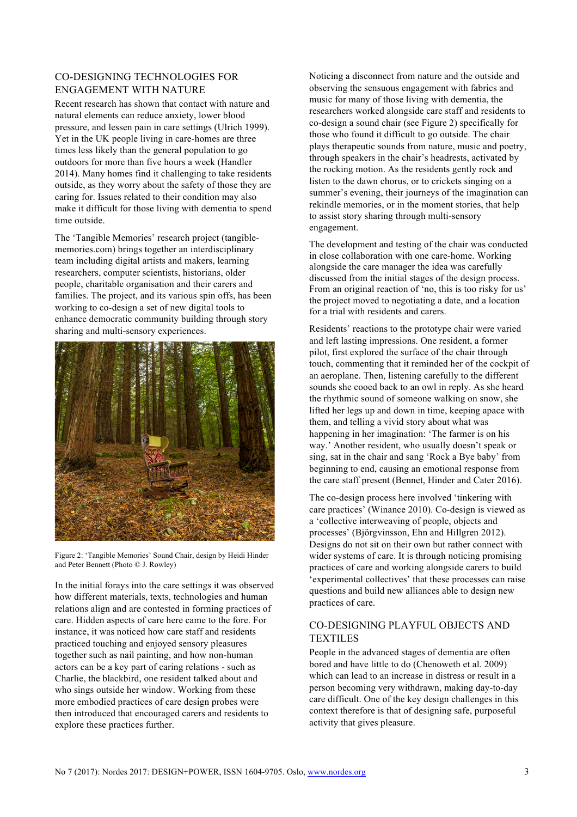## CO-DESIGNING TECHNOLOGIES FOR ENGAGEMENT WITH NATURE

Recent research has shown that contact with nature and natural elements can reduce anxiety, lower blood pressure, and lessen pain in care settings (Ulrich 1999). Yet in the UK people living in care-homes are three times less likely than the general population to go outdoors for more than five hours a week (Handler 2014). Many homes find it challenging to take residents outside, as they worry about the safety of those they are caring for. Issues related to their condition may also make it difficult for those living with dementia to spend time outside.

The 'Tangible Memories' research project (tangiblememories.com) brings together an interdisciplinary team including digital artists and makers, learning researchers, computer scientists, historians, older people, charitable organisation and their carers and families. The project, and its various spin offs, has been working to co-design a set of new digital tools to enhance democratic community building through story sharing and multi-sensory experiences.



Figure 2: 'Tangible Memories' Sound Chair, design by Heidi Hinder and Peter Bennett (Photo © J. Rowley)

In the initial forays into the care settings it was observed how different materials, texts, technologies and human relations align and are contested in forming practices of care. Hidden aspects of care here came to the fore. For instance, it was noticed how care staff and residents practiced touching and enjoyed sensory pleasures together such as nail painting, and how non-human actors can be a key part of caring relations - such as Charlie, the blackbird, one resident talked about and who sings outside her window. Working from these more embodied practices of care design probes were then introduced that encouraged carers and residents to explore these practices further.

Noticing a disconnect from nature and the outside and observing the sensuous engagement with fabrics and music for many of those living with dementia, the researchers worked alongside care staff and residents to co-design a sound chair (see Figure 2) specifically for those who found it difficult to go outside. The chair plays therapeutic sounds from nature, music and poetry, through speakers in the chair's headrests, activated by the rocking motion. As the residents gently rock and listen to the dawn chorus, or to crickets singing on a summer's evening, their journeys of the imagination can rekindle memories, or in the moment stories, that help to assist story sharing through multi-sensory engagement.

The development and testing of the chair was conducted in close collaboration with one care-home. Working alongside the care manager the idea was carefully discussed from the initial stages of the design process. From an original reaction of 'no, this is too risky for us' the project moved to negotiating a date, and a location for a trial with residents and carers.

Residents' reactions to the prototype chair were varied and left lasting impressions. One resident, a former pilot, first explored the surface of the chair through touch, commenting that it reminded her of the cockpit of an aeroplane. Then, listening carefully to the different sounds she cooed back to an owl in reply. As she heard the rhythmic sound of someone walking on snow, she lifted her legs up and down in time, keeping apace with them, and telling a vivid story about what was happening in her imagination: 'The farmer is on his way.' Another resident, who usually doesn't speak or sing, sat in the chair and sang 'Rock a Bye baby' from beginning to end, causing an emotional response from the care staff present (Bennet, Hinder and Cater 2016).

The co-design process here involved 'tinkering with care practices' (Winance 2010). Co-design is viewed as a 'collective interweaving of people, objects and processes' (Björgvinsson, Ehn and Hillgren 2012). Designs do not sit on their own but rather connect with wider systems of care. It is through noticing promising practices of care and working alongside carers to build 'experimental collectives' that these processes can raise questions and build new alliances able to design new practices of care.

# CO-DESIGNING PLAYFUL OBJECTS AND TEXTILES

People in the advanced stages of dementia are often bored and have little to do (Chenoweth et al. 2009) which can lead to an increase in distress or result in a person becoming very withdrawn, making day-to-day care difficult. One of the key design challenges in this context therefore is that of designing safe, purposeful activity that gives pleasure.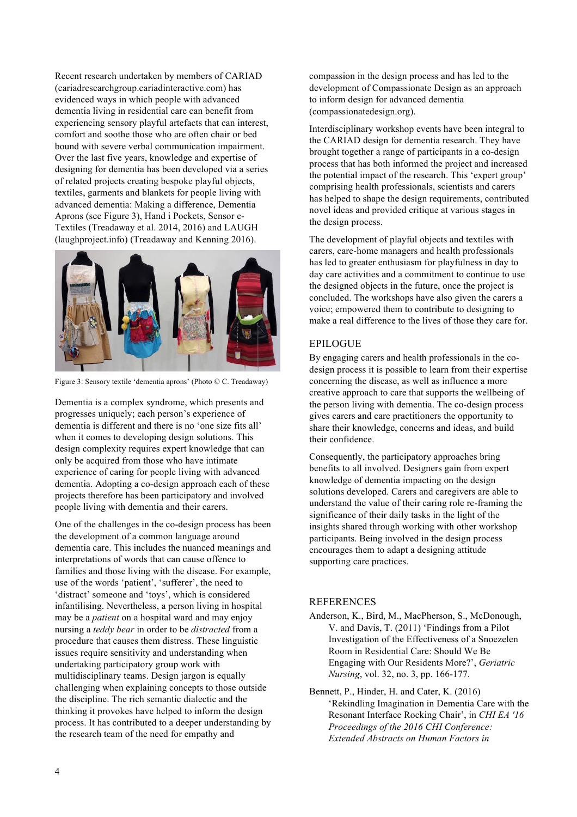Recent research undertaken by members of CARIAD (cariadresearchgroup.cariadinteractive.com) has evidenced ways in which people with advanced dementia living in residential care can benefit from experiencing sensory playful artefacts that can interest, comfort and soothe those who are often chair or bed bound with severe verbal communication impairment. Over the last five years, knowledge and expertise of designing for dementia has been developed via a series of related projects creating bespoke playful objects, textiles, garments and blankets for people living with advanced dementia: Making a difference, Dementia Aprons (see Figure 3), Hand i Pockets, Sensor e-Textiles (Treadaway et al. 2014, 2016) and LAUGH (laughproject.info) (Treadaway and Kenning 2016).



Figure 3: Sensory textile 'dementia aprons' (Photo © C. Treadaway)

Dementia is a complex syndrome, which presents and progresses uniquely; each person's experience of dementia is different and there is no 'one size fits all' when it comes to developing design solutions. This design complexity requires expert knowledge that can only be acquired from those who have intimate experience of caring for people living with advanced dementia. Adopting a co-design approach each of these projects therefore has been participatory and involved people living with dementia and their carers.

One of the challenges in the co-design process has been the development of a common language around dementia care. This includes the nuanced meanings and interpretations of words that can cause offence to families and those living with the disease. For example, use of the words 'patient', 'sufferer', the need to 'distract' someone and 'toys', which is considered infantilising. Nevertheless, a person living in hospital may be a *patient* on a hospital ward and may enjoy nursing a *teddy bear* in order to be *distracted* from a procedure that causes them distress. These linguistic issues require sensitivity and understanding when undertaking participatory group work with multidisciplinary teams. Design jargon is equally challenging when explaining concepts to those outside the discipline. The rich semantic dialectic and the thinking it provokes have helped to inform the design process. It has contributed to a deeper understanding by the research team of the need for empathy and

compassion in the design process and has led to the development of Compassionate Design as an approach to inform design for advanced dementia (compassionatedesign.org).

Interdisciplinary workshop events have been integral to the CARIAD design for dementia research. They have brought together a range of participants in a co-design process that has both informed the project and increased the potential impact of the research. This 'expert group' comprising health professionals, scientists and carers has helped to shape the design requirements, contributed novel ideas and provided critique at various stages in the design process.

The development of playful objects and textiles with carers, care-home managers and health professionals has led to greater enthusiasm for playfulness in day to day care activities and a commitment to continue to use the designed objects in the future, once the project is concluded. The workshops have also given the carers a voice; empowered them to contribute to designing to make a real difference to the lives of those they care for.

### EPILOGUE

By engaging carers and health professionals in the codesign process it is possible to learn from their expertise concerning the disease, as well as influence a more creative approach to care that supports the wellbeing of the person living with dementia. The co-design process gives carers and care practitioners the opportunity to share their knowledge, concerns and ideas, and build their confidence.

Consequently, the participatory approaches bring benefits to all involved. Designers gain from expert knowledge of dementia impacting on the design solutions developed. Carers and caregivers are able to understand the value of their caring role re-framing the significance of their daily tasks in the light of the insights shared through working with other workshop participants. Being involved in the design process encourages them to adapt a designing attitude supporting care practices.

#### **REFERENCES**

Anderson, K., Bird, M., MacPherson, S., McDonough, V. and Davis, T. (2011) 'Findings from a Pilot Investigation of the Effectiveness of a Snoezelen Room in Residential Care: Should We Be Engaging with Our Residents More?', *Geriatric Nursing*, vol. 32, no. 3, pp. 166-177.

Bennett, P., Hinder, H. and Cater, K. (2016) 'Rekindling Imagination in Dementia Care with the Resonant Interface Rocking Chair', in *CHI EA '16 Proceedings of the 2016 CHI Conference: Extended Abstracts on Human Factors in*